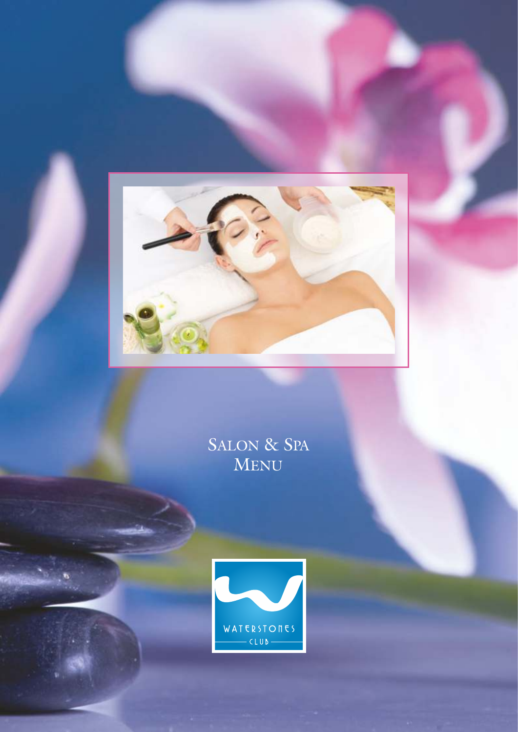

SALON & SPA MENU

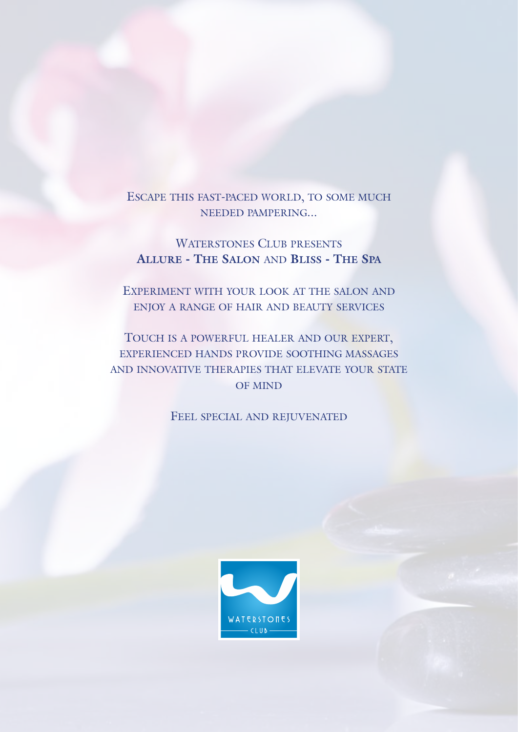# ESCAPE THIS FAST-PACED WORLD, TO SOME MUCH NEEDED PAMPERING...

# WATERSTONES CLUB PRESENTS **ALLURE - THE SALON** AND **BLISS - THE SPA**

EXPERIMENT WITH YOUR LOOK AT THE SALON AND ENJOY A RANGE OF HAIR AND BEAUTY SERVICES

TOUCH IS A POWERFUL HEALER AND OUR EXPERT, EXPERIENCED HANDS PROVIDE SOOTHING MASSAGES AND INNOVATIVE THERAPIES THAT ELEVATE YOUR STATE OF MIND

FEEL SPECIAL AND REJUVENATED

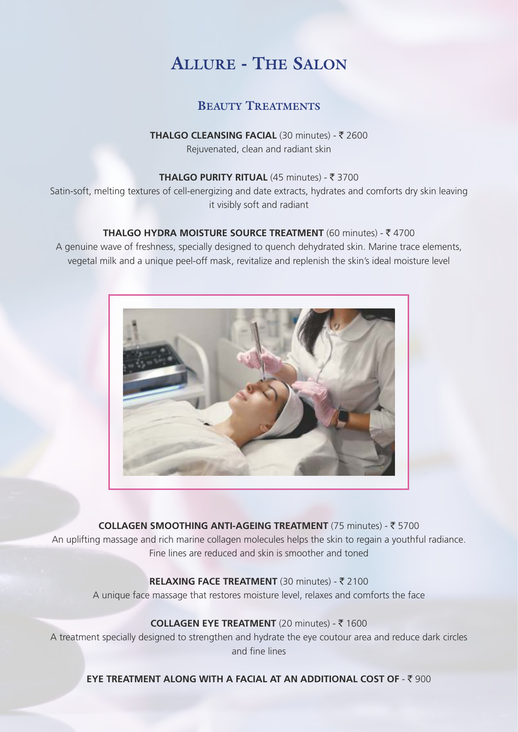# **ALLURE - THE SALON**

# **BEAUTY TREATMENTS**

## **THALGO CLEANSING FACIAL (30 minutes) - ₹ 2600** Rejuvenated, clean and radiant skin

#### **THALGO PURITY RITUAL (45 minutes) - ₹ 3700**

Satin-soft, melting textures of cell-energizing and date extracts, hydrates and comforts dry skin leaving it visibly soft and radiant

## **THALGO HYDRA MOISTURE SOURCE TREATMENT** (60 minutes) - ₹4700

A genuine wave of freshness, specially designed to quench dehydrated skin. Marine trace elements, vegetal milk and a unique peel-off mask, revitalize and replenish the skin's ideal moisture level



**COLLAGEN SMOOTHING ANTI-AGEING TREATMENT** (75 minutes) - ₹ 5700 An uplifting massage and rich marine collagen molecules helps the skin to regain a youthful radiance. Fine lines are reduced and skin is smoother and toned

## **RELAXING FACE TREATMENT** (30 minutes) - ₹ 2100 A unique face massage that restores moisture level, relaxes and comforts the face

## **COLLAGEN EYE TREATMENT** (20 minutes) - ₹ 1600

A treatment specially designed to strengthen and hydrate the eye coutour area and reduce dark circles and fine lines

**EYE TREATMENT ALONG WITH A FACIAL AT AN ADDITIONAL COST OF - ₹ 900**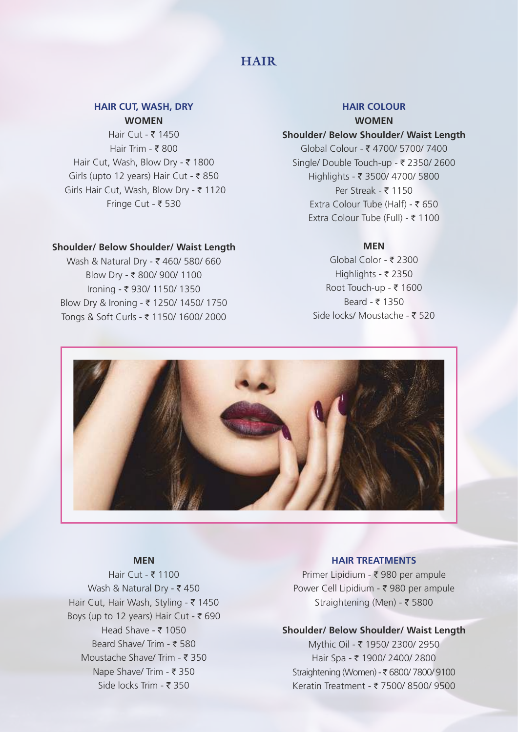# **HAIR**

#### **HAIR CUT, WASH, DRY WOMEN**

Hair Cut -  $\bar{x}$ Hair Trim -  $\bar{\tau}$ Hair Cut, Wash, Blow Dry - ₹ 1800 Girls (upto 12 years) Hair Cut -  $\overline{\tau}$ Girls Hair Cut, Wash, Blow Dry - ₹ 1120 Fringe Cut -  $\bar{\tau}$ 

#### **Shoulder/ Below Shoulder/ Waist Length**

Wash & Natural Dry - ₹ 460/ 580/ 660 Blow Dry - ₹ 800/ 900/ 1100 Ironing - ₹ 930/ 1150/ 1350 Blow Dry & Ironing - ₹ 1250/ 1450/ 1750 Tongs & Soft Curls - ₹ 1150/ 1600/ 2000

#### **HAIR COLOUR WOMEN**

#### **Shoulder/ Below Shoulder/ Waist Length**

 $G$ lobal Colour - ₹ 4700/ 5700/ 7400 Single/ Double Touch-up -  $\bar{\tau}$  2350/ 2600 Highlights - ` 3500/ 4700/ 5800 Per Streak -  $\bar{\tau}$  1150 Extra Colour Tube (Half) -  $\bar{z}$  650 Extra Colour Tube (Full) - ₹ 1100

#### **MEN**

Global Color - ₹ 2300 Highlights -  $\bar{\tau}$ Root Touch-up -  $\bar{\tau}$ Beard -  $\bar{x}$ Side locks/ Moustache -  $\overline{z}$ 



#### **MEN**

Hair Cut -  $\bar{\tau}$ Wash & Natural Dry -  $\bar{\tau}$ Hair Cut, Hair Wash, Styling - ₹ 1450 Boys (up to 12 years) Hair Cut -  $\overline{\tau}$ Head Shave -  $\bar{\tau}$ Beard Shave/ Trim - ₹ 580 Moustache Shave/ Trim -  $\bar{\tau}$ Nape Shave/ Trim -  $\bar{\tau}$ Side locks Trim -  $\bar{\tau}$ 

#### **HAIR TREATMENTS**

Primer Lipidium -  $\bar{\tau}$  980 per ampule Power Cell Lipidium - ₹ 980 per ampule Straightening (Men) - ₹ 5800

#### **Shoulder/ Below Shoulder/ Waist Length**

Mythic Oil - ₹ 1950/ 2300/ 2950 Hair Spa - ₹ 1900/ 2400/ 2800 Straightening (Women) - ₹ 6800/ 7800/ 9100 Keratin Treatment - ₹ 7500/ 8500/ 9500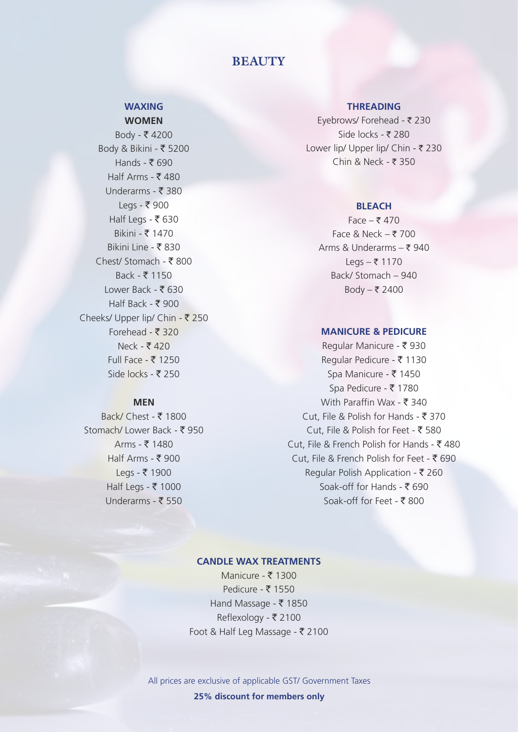# **BEAUTY**

#### **WAXING WOMEN**

 $Body - ₹ 4200$  $Body & Bikini - ₹ 5200$ Hands -  $\bar{\bar{\xi}}$  690 Half Arms -  $\bar{\bar{\xi}}$  480 Underarms - ₹ 380 Legs -  $\bar{\tau}$  900 Half Legs - ₹630 Bikini - ` 1470 Bikini Line - ₹830  $Chest/$  Stomach - ₹ 800  $Back - 7 1150$ Lower Back - ₹630 Half Back - ₹ 900 Cheeks/ Upper lip/ Chin - ₹ 250 Forehead -  $\overline{z}$  320  $Neck - ₹ 420$ Full Face -  $\bar{\bar{\xi}}$  1250 Side locks -  $\bar{z}$  250

#### **MEN**

Back/ Chest -  $\bar{\tau}$  1800 Stomach/ Lower Back - ₹ 950 Arms -  $\bar{x}$  1480 Half Arms - ₹ 900 Legs - ₹ 1900 Half Legs - ₹ 1000 Underarms -  $\bar{\bar{\xi}}$  550

#### **THREADING**

Eyebrows/ Forehead - ₹ 230 Side locks - ₹ 280 Lower lip/ Upper lip/ Chin -  $\bar{\tau}$  230 Chin & Neck -  $\bar{z}$  350

#### **BLEACH**

Face  $-$  ₹ 470 Face & Neck  $-\overline{z}$  700 Arms & Underarms  $-\bar{\tau}$  940 Legs  $-$  ₹ 1170 Back/ Stomach - 940 Body  $-$  ₹ 2400

#### **MANICURE & PEDICURE**

Regular Manicure - ₹ 930 Regular Pedicure - ₹ 1130 Spa Manicure - ₹ 1450 Spa Pedicure - ₹ 1780 With Paraffin Wax -  $\bar{\mathbf{\tau}}$  340 Cut, File & Polish for Hands -  $\bar{z}$  370 Cut, File & Polish for Feet -  $\overline{5}$  580 Cut, File & French Polish for Hands -  $\bar{\tau}$  480 Cut, File & French Polish for Feet -  $\bar{\bar{\xi}}$  690 Regular Polish Application -  $\bar{\bar{\xi}}$  260 Soak-off for Hands - ₹ 690 Soak-off for Feet -  $\bar{\mathbf{\xi}}$  800

#### **CANDLE WAX TREATMENTS**

Manicure -  $\bar{\bar{\xi}}$  1300 Pedicure - ₹ 1550 Hand Massage -  $\bar{\tau}$  1850 Reflexology - ₹ 2100 Foot & Half Leg Massage -  $\bar{z}$  2100

All prices are exclusive of applicable GST/ Government Taxes **25% discount for members only**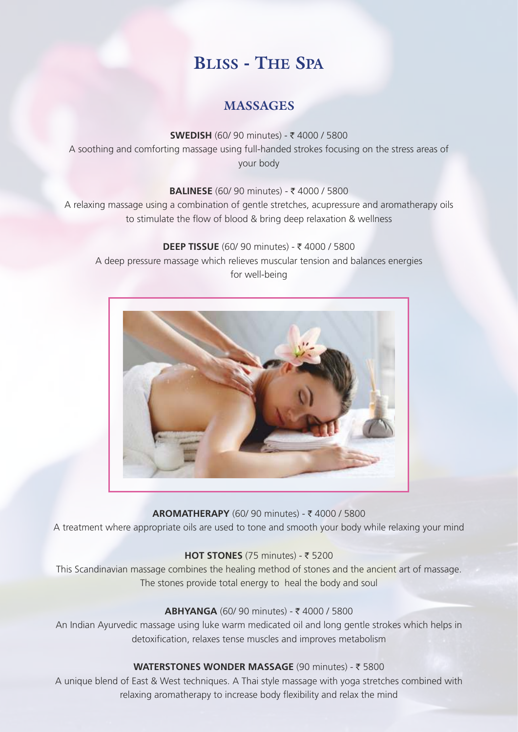# **BLISS - THE SPA**

# **MASSAGES**

**SWEDISH** (60/ 90 minutes) - ₹ 4000 / 5800 A soothing and comforting massage using full-handed strokes focusing on the stress areas of your body

**BALINESE** (60/ 90 minutes) - ₹ 4000 / 5800

A relaxing massage using a combination of gentle stretches, acupressure and aromatherapy oils to stimulate the flow of blood & bring deep relaxation & wellness

**DEEP TISSUE** (60/ 90 minutes) - ₹ 4000 / 5800 A deep pressure massage which relieves muscular tension and balances energies for well-being



**AROMATHERAPY** (60/ 90 minutes) - ₹ 4000 / 5800 A treatment where appropriate oils are used to tone and smooth your body while relaxing your mind

## $HOT$  **STONES** (75 minutes) -  $\overline{z}$  5200

This Scandinavian massage combines the healing method of stones and the ancient art of massage. The stones provide total energy to heal the body and soul

## **ABHYANGA (60/ 90 minutes) - ₹ 4000 / 5800**

An Indian Ayurvedic massage using luke warm medicated oil and long gentle strokes which helps in detoxification, relaxes tense muscles and improves metabolism

## **WATERSTONES WONDER MASSAGE (90 minutes) - ₹ 5800**

A unique blend of East & West techniques. A Thai style massage with yoga stretches combined with relaxing aromatherapy to increase body flexibility and relax the mind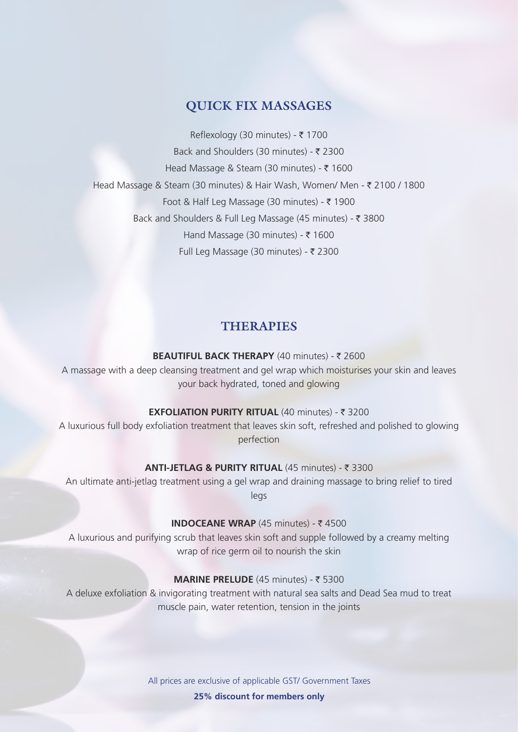## **QUICK FIX MASSAGES**

Reflexology (30 minutes) -  $\bar{\tau}$ Back and Shoulders (30 minutes) -  $\bar{\tau}$ Head Massage & Steam (30 minutes) -  $\bar{\tau}$ Head Massage & Steam (30 minutes) & Hair Wash, Women/ Men - ₹ 2100 / 1800 Foot & Half Leg Massage (30 minutes) -  $\bar{\tau}$ Back and Shoulders & Full Leg Massage (45 minutes) - ₹ 3800 Hand Massage (30 minutes) -  $\bar{\tau}$ Full Leg Massage (30 minutes) -  $\bar{\tau}$ 

## **THERAPIES**

#### **BEAUTIFUL BACK THERAPY** (40 minutes) - ₹ 2600

A massage with a deep cleansing treatment and gel wrap which moisturises your skin and leaves your back hydrated, toned and glowing

## **EXFOLIATION PURITY RITUAL (40 minutes) - ₹ 3200**

A luxurious full body exfoliation treatment that leaves skin soft, refreshed and polished to glowing perfection

#### **ANTI-JETLAG & PURITY RITUAL (45 minutes) - ₹ 3300**

An ultimate anti-jetlag treatment using a gel wrap and draining massage to bring relief to tired legs

## **INDOCEANE WRAP** (45 minutes) -  $\bar{\tau}$  4500

A luxurious and purifying scrub that leaves skin soft and supple followed by a creamy melting wrap of rice germ oil to nourish the skin

## **MARINE PRELUDE** (45 minutes) - ₹ 5300

A deluxe exfoliation & invigorating treatment with natural sea salts and Dead Sea mud to treat muscle pain, water retention, tension in the joints

> All prices are exclusive of applicable GST/ Government Taxes **25% discount for members only**